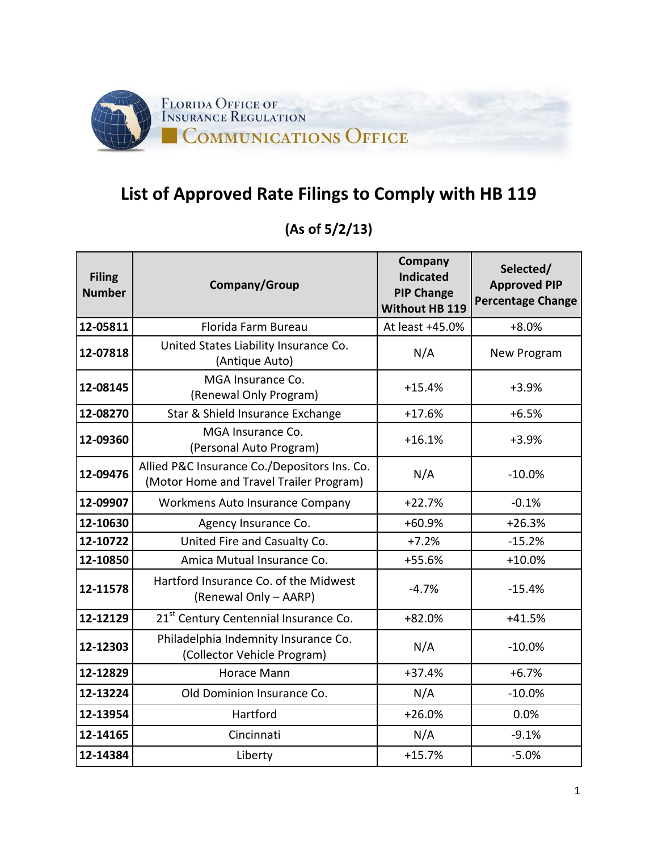

## **List of Approved Rate Filings to Comply with HB 119**

## **(As of 5/2/13)**

| <b>Filing</b><br><b>Number</b> | Company/Group                                                                           | Company<br><b>Indicated</b><br><b>PIP Change</b><br><b>Without HB 119</b> | Selected/<br><b>Approved PIP</b><br><b>Percentage Change</b> |
|--------------------------------|-----------------------------------------------------------------------------------------|---------------------------------------------------------------------------|--------------------------------------------------------------|
| 12-05811                       | Florida Farm Bureau                                                                     | At least +45.0%                                                           | $+8.0%$                                                      |
| 12-07818                       | United States Liability Insurance Co.<br>(Antique Auto)                                 | N/A                                                                       | New Program                                                  |
| 12-08145                       | MGA Insurance Co.<br>(Renewal Only Program)                                             | $+15.4%$                                                                  | $+3.9%$                                                      |
| 12-08270                       | Star & Shield Insurance Exchange                                                        | $+17.6%$                                                                  | $+6.5%$                                                      |
| 12-09360                       | MGA Insurance Co.<br>(Personal Auto Program)                                            | $+16.1%$                                                                  | $+3.9%$                                                      |
| 12-09476                       | Allied P&C Insurance Co./Depositors Ins. Co.<br>(Motor Home and Travel Trailer Program) | N/A                                                                       | $-10.0%$                                                     |
| 12-09907                       | <b>Workmens Auto Insurance Company</b>                                                  | $+22.7%$                                                                  | $-0.1%$                                                      |
| 12-10630                       | Agency Insurance Co.                                                                    | $+60.9%$                                                                  | $+26.3%$                                                     |
| 12-10722                       | United Fire and Casualty Co.                                                            | $+7.2%$                                                                   | $-15.2%$                                                     |
| 12-10850                       | Amica Mutual Insurance Co.                                                              | +55.6%                                                                    | $+10.0%$                                                     |
| 12-11578                       | Hartford Insurance Co. of the Midwest<br>(Renewal Only - AARP)                          | $-4.7%$                                                                   | $-15.4%$                                                     |
| 12-12129                       | 21 <sup>st</sup> Century Centennial Insurance Co.                                       | $+82.0%$                                                                  | $+41.5%$                                                     |
| 12-12303                       | Philadelphia Indemnity Insurance Co.<br>(Collector Vehicle Program)                     | N/A                                                                       | $-10.0%$                                                     |
| 12-12829                       | Horace Mann                                                                             | $+37.4%$                                                                  | $+6.7%$                                                      |
| 12-13224                       | Old Dominion Insurance Co.                                                              | N/A                                                                       | $-10.0%$                                                     |
| 12-13954                       | Hartford                                                                                | $+26.0%$                                                                  | 0.0%                                                         |
| 12-14165                       | Cincinnati                                                                              | N/A                                                                       | $-9.1%$                                                      |
| 12-14384                       | Liberty                                                                                 | $+15.7%$                                                                  | $-5.0%$                                                      |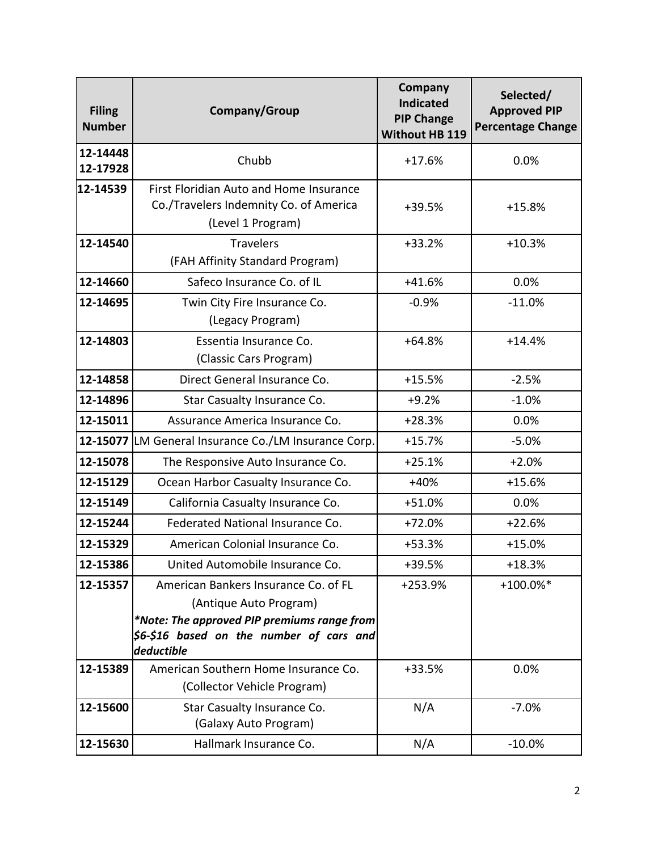| <b>Filing</b><br><b>Number</b> | Company/Group                                                                                                                                                             | Company<br><b>Indicated</b><br><b>PIP Change</b><br><b>Without HB 119</b> | Selected/<br><b>Approved PIP</b><br><b>Percentage Change</b> |
|--------------------------------|---------------------------------------------------------------------------------------------------------------------------------------------------------------------------|---------------------------------------------------------------------------|--------------------------------------------------------------|
| 12-14448<br>12-17928           | Chubb                                                                                                                                                                     | $+17.6%$                                                                  | 0.0%                                                         |
| 12-14539                       | First Floridian Auto and Home Insurance<br>Co./Travelers Indemnity Co. of America<br>(Level 1 Program)                                                                    | +39.5%                                                                    | $+15.8%$                                                     |
| 12-14540                       | <b>Travelers</b><br>(FAH Affinity Standard Program)                                                                                                                       | $+33.2%$                                                                  | $+10.3%$                                                     |
| 12-14660                       | Safeco Insurance Co. of IL                                                                                                                                                | $+41.6%$                                                                  | 0.0%                                                         |
| 12-14695                       | Twin City Fire Insurance Co.<br>(Legacy Program)                                                                                                                          | $-0.9%$                                                                   | $-11.0%$                                                     |
| 12-14803                       | Essentia Insurance Co.<br>(Classic Cars Program)                                                                                                                          | $+64.8%$                                                                  | $+14.4%$                                                     |
| 12-14858                       | Direct General Insurance Co.                                                                                                                                              | $+15.5%$                                                                  | $-2.5%$                                                      |
| 12-14896                       | Star Casualty Insurance Co.                                                                                                                                               | $+9.2%$                                                                   | $-1.0%$                                                      |
| 12-15011                       | Assurance America Insurance Co.                                                                                                                                           | $+28.3%$                                                                  | 0.0%                                                         |
|                                | 12-15077 LM General Insurance Co./LM Insurance Corp.                                                                                                                      | $+15.7%$                                                                  | $-5.0%$                                                      |
| 12-15078                       | The Responsive Auto Insurance Co.                                                                                                                                         | $+25.1%$                                                                  | $+2.0%$                                                      |
| 12-15129                       | Ocean Harbor Casualty Insurance Co.                                                                                                                                       | $+40%$                                                                    | $+15.6%$                                                     |
| 12-15149                       | California Casualty Insurance Co.                                                                                                                                         | $+51.0%$                                                                  | 0.0%                                                         |
| 12-15244                       | Federated National Insurance Co.                                                                                                                                          | $+72.0%$                                                                  | $+22.6%$                                                     |
| 12-15329                       | American Colonial Insurance Co.                                                                                                                                           | $+53.3%$                                                                  | $+15.0%$                                                     |
| 12-15386                       | United Automobile Insurance Co.                                                                                                                                           | +39.5%                                                                    | $+18.3%$                                                     |
| 12-15357                       | American Bankers Insurance Co. of FL<br>(Antique Auto Program)<br>*Note: The approved PIP premiums range from<br>$ 56-\$16$ based on the number of cars and<br>deductible | +253.9%                                                                   | +100.0%*                                                     |
| 12-15389                       | American Southern Home Insurance Co.<br>(Collector Vehicle Program)                                                                                                       | +33.5%                                                                    | 0.0%                                                         |
| 12-15600                       | Star Casualty Insurance Co.<br>(Galaxy Auto Program)                                                                                                                      | N/A                                                                       | $-7.0%$                                                      |
| 12-15630                       | Hallmark Insurance Co.                                                                                                                                                    | N/A                                                                       | $-10.0%$                                                     |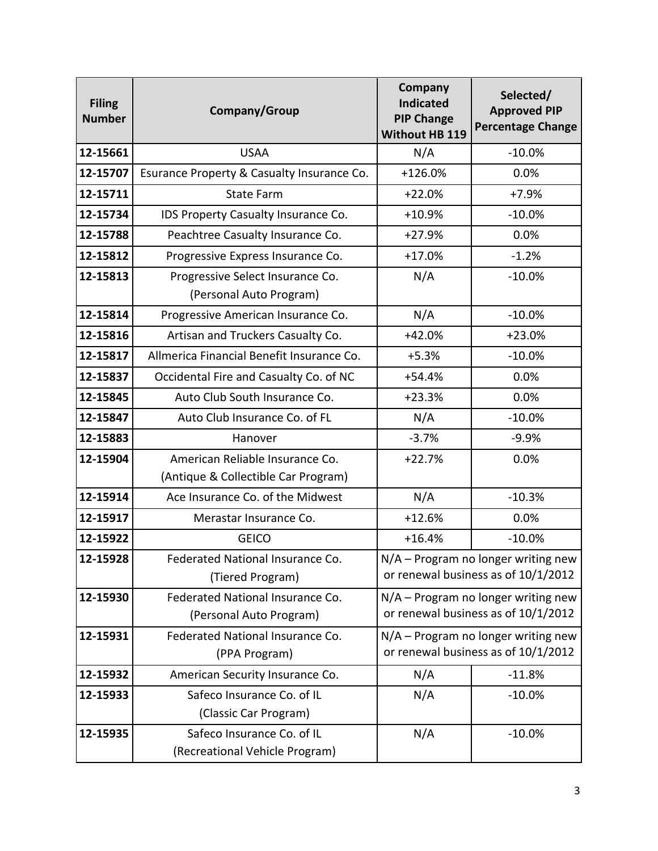| <b>Filing</b><br><b>Number</b> | Company/Group                                                | Company<br><b>Indicated</b><br><b>PIP Change</b><br><b>Without HB 119</b>    | Selected/<br><b>Approved PIP</b><br><b>Percentage Change</b> |
|--------------------------------|--------------------------------------------------------------|------------------------------------------------------------------------------|--------------------------------------------------------------|
| 12-15661                       | <b>USAA</b>                                                  | N/A                                                                          | $-10.0%$                                                     |
| 12-15707                       | Esurance Property & Casualty Insurance Co.                   | +126.0%                                                                      | 0.0%                                                         |
| 12-15711                       | <b>State Farm</b>                                            | $+22.0%$                                                                     | $+7.9%$                                                      |
| 12-15734                       | IDS Property Casualty Insurance Co.                          | $+10.9%$                                                                     | $-10.0%$                                                     |
| 12-15788                       | Peachtree Casualty Insurance Co.                             | $+27.9%$                                                                     | 0.0%                                                         |
| 12-15812                       | Progressive Express Insurance Co.                            | $+17.0%$                                                                     | $-1.2%$                                                      |
| 12-15813                       | Progressive Select Insurance Co.<br>(Personal Auto Program)  | N/A                                                                          | $-10.0%$                                                     |
| 12-15814                       | Progressive American Insurance Co.                           | N/A                                                                          | $-10.0%$                                                     |
| 12-15816                       | Artisan and Truckers Casualty Co.                            | $+42.0%$                                                                     | $+23.0%$                                                     |
| 12-15817                       | Allmerica Financial Benefit Insurance Co.                    | $+5.3%$                                                                      | $-10.0%$                                                     |
| 12-15837                       | Occidental Fire and Casualty Co. of NC                       | $+54.4%$                                                                     | 0.0%                                                         |
| 12-15845                       | Auto Club South Insurance Co.                                | $+23.3%$                                                                     | 0.0%                                                         |
| 12-15847                       | Auto Club Insurance Co. of FL                                | N/A                                                                          | $-10.0%$                                                     |
| 12-15883                       | Hanover                                                      | $-3.7%$                                                                      | $-9.9%$                                                      |
| 12-15904                       | American Reliable Insurance Co.                              | $+22.7%$                                                                     | 0.0%                                                         |
|                                | (Antique & Collectible Car Program)                          |                                                                              |                                                              |
| 12-15914                       | Ace Insurance Co. of the Midwest                             | N/A                                                                          | $-10.3%$                                                     |
| 12-15917                       | Merastar Insurance Co.                                       | $+12.6%$                                                                     | 0.0%                                                         |
| 12-15922                       | <b>GEICO</b>                                                 | $+16.4%$                                                                     | $-10.0%$                                                     |
| 12-15928                       | Federated National Insurance Co.<br>(Tiered Program)         | $N/A$ – Program no longer writing new<br>or renewal business as of 10/1/2012 |                                                              |
| 12-15930                       | Federated National Insurance Co.<br>(Personal Auto Program)  | N/A - Program no longer writing new<br>or renewal business as of 10/1/2012   |                                                              |
| 12-15931                       | Federated National Insurance Co.<br>(PPA Program)            | N/A - Program no longer writing new<br>or renewal business as of 10/1/2012   |                                                              |
| 12-15932                       | American Security Insurance Co.                              | N/A                                                                          | $-11.8%$                                                     |
| 12-15933                       | Safeco Insurance Co. of IL<br>(Classic Car Program)          | N/A                                                                          | $-10.0%$                                                     |
| 12-15935                       | Safeco Insurance Co. of IL<br>(Recreational Vehicle Program) | N/A                                                                          | $-10.0%$                                                     |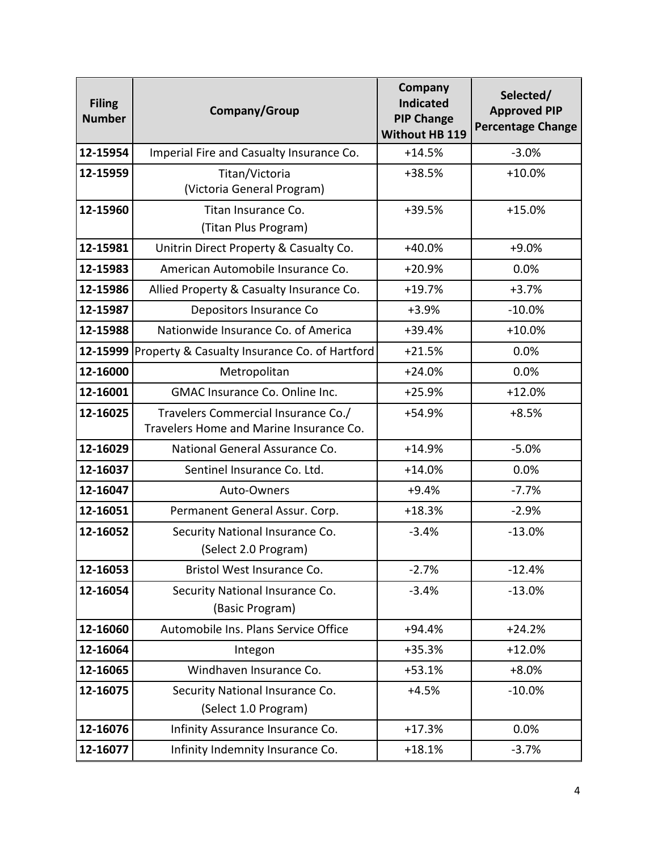| <b>Filing</b><br><b>Number</b> | Company/Group                                                                  | <b>Company</b><br><b>Indicated</b><br><b>PIP Change</b><br><b>Without HB 119</b> | Selected/<br><b>Approved PIP</b><br><b>Percentage Change</b> |
|--------------------------------|--------------------------------------------------------------------------------|----------------------------------------------------------------------------------|--------------------------------------------------------------|
| 12-15954                       | Imperial Fire and Casualty Insurance Co.                                       | $+14.5%$                                                                         | $-3.0%$                                                      |
| 12-15959                       | Titan/Victoria<br>(Victoria General Program)                                   | +38.5%                                                                           | $+10.0%$                                                     |
| 12-15960                       | Titan Insurance Co.<br>(Titan Plus Program)                                    | +39.5%                                                                           | $+15.0%$                                                     |
| 12-15981                       | Unitrin Direct Property & Casualty Co.                                         | $+40.0%$                                                                         | $+9.0%$                                                      |
| 12-15983                       | American Automobile Insurance Co.                                              | $+20.9%$                                                                         | 0.0%                                                         |
| 12-15986                       | Allied Property & Casualty Insurance Co.                                       | $+19.7%$                                                                         | $+3.7%$                                                      |
| 12-15987                       | Depositors Insurance Co                                                        | $+3.9%$                                                                          | $-10.0%$                                                     |
| 12-15988                       | Nationwide Insurance Co. of America                                            | +39.4%                                                                           | $+10.0%$                                                     |
| 12-15999                       | Property & Casualty Insurance Co. of Hartford                                  | $+21.5%$                                                                         | 0.0%                                                         |
| 12-16000                       | Metropolitan                                                                   | $+24.0%$                                                                         | 0.0%                                                         |
| 12-16001                       | GMAC Insurance Co. Online Inc.                                                 | $+25.9%$                                                                         | $+12.0%$                                                     |
| 12-16025                       | Travelers Commercial Insurance Co./<br>Travelers Home and Marine Insurance Co. | +54.9%                                                                           | $+8.5%$                                                      |
| 12-16029                       | National General Assurance Co.                                                 | $+14.9%$                                                                         | $-5.0%$                                                      |
| 12-16037                       | Sentinel Insurance Co. Ltd.                                                    | $+14.0%$                                                                         | 0.0%                                                         |
| 12-16047                       | Auto-Owners                                                                    | $+9.4%$                                                                          | $-7.7%$                                                      |
| 12-16051                       | Permanent General Assur. Corp.                                                 | $+18.3%$                                                                         | $-2.9%$                                                      |
| 12-16052                       | Security National Insurance Co.<br>(Select 2.0 Program)                        | $-3.4%$                                                                          | $-13.0%$                                                     |
| 12-16053                       | Bristol West Insurance Co.                                                     | $-2.7%$                                                                          | $-12.4%$                                                     |
| 12-16054                       | Security National Insurance Co.<br>(Basic Program)                             | $-3.4%$                                                                          | $-13.0%$                                                     |
| 12-16060                       | Automobile Ins. Plans Service Office                                           | $+94.4%$                                                                         | $+24.2%$                                                     |
| 12-16064                       | Integon                                                                        | $+35.3%$                                                                         | $+12.0%$                                                     |
| 12-16065                       | Windhaven Insurance Co.                                                        | $+53.1%$                                                                         | $+8.0%$                                                      |
| 12-16075                       | Security National Insurance Co.<br>(Select 1.0 Program)                        | $+4.5%$                                                                          | $-10.0%$                                                     |
| 12-16076                       | Infinity Assurance Insurance Co.                                               | $+17.3%$                                                                         | 0.0%                                                         |
| 12-16077                       | Infinity Indemnity Insurance Co.                                               | $+18.1%$                                                                         | $-3.7%$                                                      |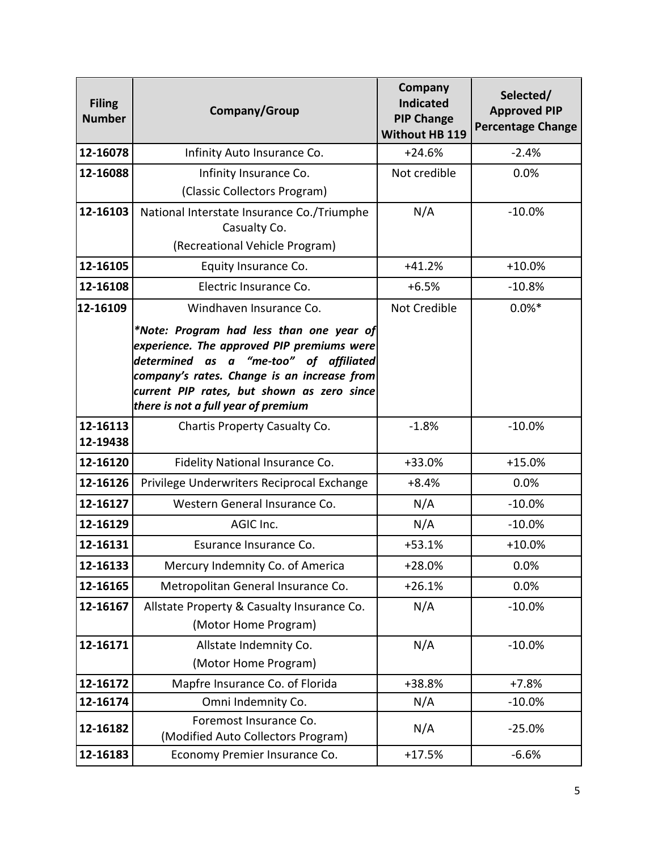| <b>Filing</b><br><b>Number</b> | Company/Group                                                                                                                                                                                                                                                        | Company<br><b>Indicated</b><br><b>PIP Change</b><br><b>Without HB 119</b> | Selected/<br><b>Approved PIP</b><br><b>Percentage Change</b> |
|--------------------------------|----------------------------------------------------------------------------------------------------------------------------------------------------------------------------------------------------------------------------------------------------------------------|---------------------------------------------------------------------------|--------------------------------------------------------------|
| 12-16078                       | Infinity Auto Insurance Co.                                                                                                                                                                                                                                          | $+24.6%$                                                                  | $-2.4%$                                                      |
| 12-16088                       | Infinity Insurance Co.                                                                                                                                                                                                                                               | Not credible                                                              | 0.0%                                                         |
|                                | (Classic Collectors Program)                                                                                                                                                                                                                                         |                                                                           |                                                              |
| 12-16103                       | National Interstate Insurance Co./Triumphe<br>Casualty Co.                                                                                                                                                                                                           | N/A                                                                       | $-10.0%$                                                     |
|                                | (Recreational Vehicle Program)                                                                                                                                                                                                                                       |                                                                           |                                                              |
| 12-16105                       | Equity Insurance Co.                                                                                                                                                                                                                                                 | $+41.2%$                                                                  | $+10.0%$                                                     |
| 12-16108                       | Electric Insurance Co.                                                                                                                                                                                                                                               | $+6.5%$                                                                   | $-10.8%$                                                     |
| 12-16109                       | Windhaven Insurance Co.                                                                                                                                                                                                                                              | Not Credible                                                              | $0.0%*$                                                      |
|                                | *Note: Program had less than one year of<br>experience. The approved PIP premiums were<br>determined as a "me-too" of affiliated<br>company's rates. Change is an increase from<br>current PIP rates, but shown as zero since<br>there is not a full year of premium |                                                                           |                                                              |
| 12-16113<br>12-19438           | Chartis Property Casualty Co.                                                                                                                                                                                                                                        | $-1.8%$                                                                   | $-10.0%$                                                     |
| 12-16120                       | Fidelity National Insurance Co.                                                                                                                                                                                                                                      | +33.0%                                                                    | $+15.0%$                                                     |
| 12-16126                       | Privilege Underwriters Reciprocal Exchange                                                                                                                                                                                                                           | $+8.4%$                                                                   | 0.0%                                                         |
| 12-16127                       | Western General Insurance Co.                                                                                                                                                                                                                                        | N/A                                                                       | $-10.0%$                                                     |
| 12-16129                       | AGIC Inc.                                                                                                                                                                                                                                                            | N/A                                                                       | $-10.0%$                                                     |
| 12-16131                       | Esurance Insurance Co.                                                                                                                                                                                                                                               | $+53.1%$                                                                  | $+10.0%$                                                     |
| 12-16133                       | Mercury Indemnity Co. of America                                                                                                                                                                                                                                     | $+28.0%$                                                                  | 0.0%                                                         |
| 12-16165                       | Metropolitan General Insurance Co.                                                                                                                                                                                                                                   | $+26.1%$                                                                  | 0.0%                                                         |
| 12-16167                       | Allstate Property & Casualty Insurance Co.<br>(Motor Home Program)                                                                                                                                                                                                   | N/A                                                                       | $-10.0%$                                                     |
| 12-16171                       | Allstate Indemnity Co.                                                                                                                                                                                                                                               | N/A                                                                       | $-10.0%$                                                     |
|                                | (Motor Home Program)                                                                                                                                                                                                                                                 |                                                                           |                                                              |
| 12-16172                       | Mapfre Insurance Co. of Florida                                                                                                                                                                                                                                      | +38.8%                                                                    | $+7.8%$                                                      |
| 12-16174                       | Omni Indemnity Co.                                                                                                                                                                                                                                                   | N/A                                                                       | $-10.0%$                                                     |
| 12-16182                       | Foremost Insurance Co.<br>(Modified Auto Collectors Program)                                                                                                                                                                                                         | N/A                                                                       | $-25.0%$                                                     |
| 12-16183                       | Economy Premier Insurance Co.                                                                                                                                                                                                                                        | $+17.5%$                                                                  | $-6.6%$                                                      |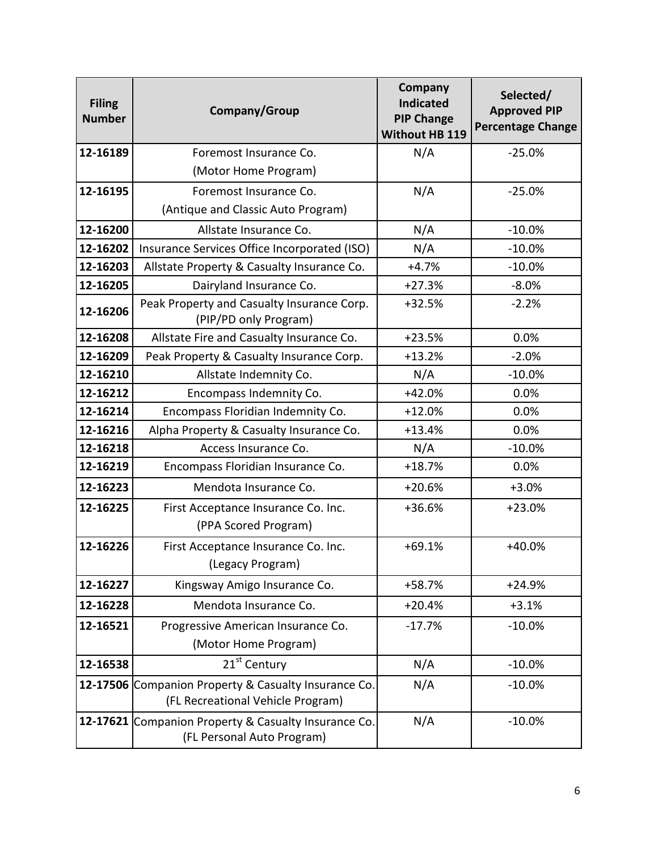| <b>Filing</b><br><b>Number</b> | Company/Group                                                                             | Company<br><b>Indicated</b><br><b>PIP Change</b><br><b>Without HB 119</b> | Selected/<br><b>Approved PIP</b><br><b>Percentage Change</b> |
|--------------------------------|-------------------------------------------------------------------------------------------|---------------------------------------------------------------------------|--------------------------------------------------------------|
| 12-16189                       | Foremost Insurance Co.                                                                    | N/A                                                                       | $-25.0%$                                                     |
|                                | (Motor Home Program)                                                                      |                                                                           |                                                              |
| 12-16195                       | Foremost Insurance Co.                                                                    | N/A                                                                       | $-25.0%$                                                     |
|                                | (Antique and Classic Auto Program)                                                        |                                                                           |                                                              |
| 12-16200                       | Allstate Insurance Co.                                                                    | N/A                                                                       | $-10.0%$                                                     |
| 12-16202                       | Insurance Services Office Incorporated (ISO)                                              | N/A                                                                       | $-10.0%$                                                     |
| 12-16203                       | Allstate Property & Casualty Insurance Co.                                                | $+4.7%$                                                                   | $-10.0%$                                                     |
| 12-16205                       | Dairyland Insurance Co.                                                                   | $+27.3%$                                                                  | $-8.0%$                                                      |
| 12-16206                       | Peak Property and Casualty Insurance Corp.<br>(PIP/PD only Program)                       | $+32.5%$                                                                  | $-2.2%$                                                      |
| 12-16208                       | Allstate Fire and Casualty Insurance Co.                                                  | $+23.5%$                                                                  | 0.0%                                                         |
| 12-16209                       | Peak Property & Casualty Insurance Corp.                                                  | $+13.2%$                                                                  | $-2.0%$                                                      |
| 12-16210                       | Allstate Indemnity Co.                                                                    | N/A                                                                       | $-10.0%$                                                     |
| 12-16212                       | Encompass Indemnity Co.                                                                   | $+42.0%$                                                                  | 0.0%                                                         |
| 12-16214                       | Encompass Floridian Indemnity Co.                                                         | $+12.0%$                                                                  | 0.0%                                                         |
| 12-16216                       | Alpha Property & Casualty Insurance Co.                                                   | $+13.4%$                                                                  | 0.0%                                                         |
| 12-16218                       | Access Insurance Co.                                                                      | N/A                                                                       | $-10.0%$                                                     |
| 12-16219                       | Encompass Floridian Insurance Co.                                                         | $+18.7%$                                                                  | 0.0%                                                         |
| 12-16223                       | Mendota Insurance Co.                                                                     | $+20.6%$                                                                  | $+3.0%$                                                      |
| 12-16225                       | First Acceptance Insurance Co. Inc.<br>(PPA Scored Program)                               | +36.6%                                                                    | $+23.0%$                                                     |
| 12-16226                       | First Acceptance Insurance Co. Inc.<br>(Legacy Program)                                   | $+69.1%$                                                                  | $+40.0%$                                                     |
| 12-16227                       | Kingsway Amigo Insurance Co.                                                              | $+58.7%$                                                                  | $+24.9%$                                                     |
| 12-16228                       | Mendota Insurance Co.                                                                     | $+20.4%$                                                                  | $+3.1%$                                                      |
| 12-16521                       | Progressive American Insurance Co.<br>(Motor Home Program)                                | $-17.7%$                                                                  | $-10.0%$                                                     |
| 12-16538                       | 21 <sup>st</sup> Century                                                                  | N/A                                                                       | $-10.0%$                                                     |
|                                | 12-17506 Companion Property & Casualty Insurance Co.<br>(FL Recreational Vehicle Program) | N/A                                                                       | $-10.0%$                                                     |
|                                | 12-17621 Companion Property & Casualty Insurance Co.<br>(FL Personal Auto Program)        | N/A                                                                       | $-10.0%$                                                     |